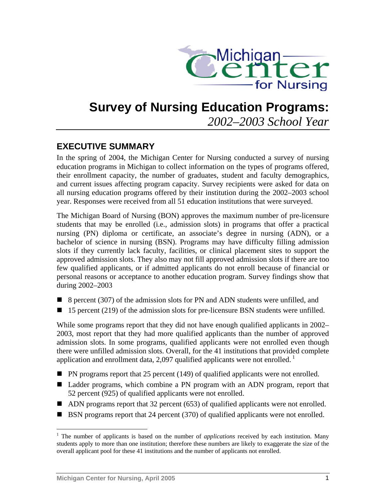

# **Survey of Nursing Education Programs:**

*2002–2003 School Year*

## **EXECUTIVE SUMMARY**

In the spring of 2004, the Michigan Center for Nursing conducted a survey of nursing education programs in Michigan to collect information on the types of programs offered, their enrollment capacity, the number of graduates, student and faculty demographics, and current issues affecting program capacity. Survey recipients were asked for data on all nursing education programs offered by their institution during the 2002–2003 school year. Responses were received from all 51 education institutions that were surveyed.

The Michigan Board of Nursing (BON) approves the maximum number of pre-licensure students that may be enrolled (i.e., admission slots) in programs that offer a practical nursing (PN) diploma or certificate, an associate's degree in nursing (ADN), or a bachelor of science in nursing (BSN). Programs may have difficulty filling admission slots if they currently lack faculty, facilities, or clinical placement sites to support the approved admission slots. They also may not fill approved admission slots if there are too few qualified applicants, or if admitted applicants do not enroll because of financial or personal reasons or acceptance to another education program. Survey findings show that during 2002–2003

- 8 percent (307) of the admission slots for PN and ADN students were unfilled, and
- $\blacksquare$  15 percent (219) of the admission slots for pre-licensure BSN students were unfilled.

While some programs report that they did not have enough qualified applicants in 2002– 2003, most report that they had more qualified applicants than the number of approved admission slots. In some programs, qualified applicants were not enrolled even though there were unfilled admission slots. Overall, for the 41 institutions that provided complete application and enrollment data, 2,097 qualified applicants were not enrolled.<sup>1</sup>

- $\blacksquare$  PN programs report that 25 percent (149) of qualified applicants were not enrolled.
- Ladder programs, which combine a PN program with an ADN program, report that 52 percent (925) of qualified [ap](#page-0-0)plicants were not enrolled.
- ADN programs report that 32 percent (653) of qualified applicants were not enrolled.
- BSN programs report that 24 percent (370) of qualified applicants were not enrolled.

<span id="page-0-0"></span><sup>1</sup> <sup>1</sup> The number of applicants is based on the number of *applications* received by each institution. Many students apply to more than one institution; therefore these numbers are likely to exaggerate the size of the overall applicant pool for these 41 institutions and the number of applicants not enrolled.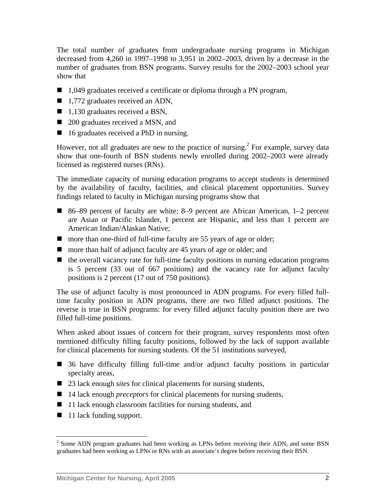The total number of graduates from undergraduate nursing programs in Michigan decreased from 4,260 in 1997–1998 to 3,951 in 2002–2003, driven by a decrease in the number of graduates from BSN programs. Survey results for the 2002–2003 school year show that

- 1,049 graduates received a certificate or diploma through a PN program,
- 1,772 graduates received an ADN,
- $\blacksquare$  1,130 graduates received a BSN,
- 200 graduates received a MSN, and
- 16 graduates received a PhD in nursing.

However, not all graduates are new to the practice of nursing.<sup>2</sup> For example, survey data show that one-fourth of BSN students newly enrolled during 2002–2003 were already licensed as registered nurses (RNs).

The immediate capacity of nursing education programs to accept students is determined by the availability of faculty, facilities, and clinical placement opportunities. Survey findings related to faculty in Michigan nursing programs show that

- 86–89 percent of faculty are white; 8–9 percent are African American, 1–2 percent are Asian or Pacific Islander, 1 percent are Hispanic, and less than 1 percent are American Indian/Alaskan Native;
- more than one-third of full-time faculty are 55 years of age or older;
- more than half of adjunct faculty are 45 years of age or older; and
- $\blacksquare$  the overall vacancy rate for full-time faculty positions in nursing education programs is 5 percent (33 out of 667 positions) and the vacancy rate for adjunct faculty positions is 2 percent (17 out of 750 positions).

The use of adjunct faculty is most pronounced in ADN programs. For every filled fulltime faculty position in ADN programs, there are two filled adjunct positions. The reverse is true in BSN programs: for every filled adjunct faculty position there are two filled full-time positions.

When asked about issues of concern for their program, survey respondents most often mentioned difficulty filling faculty positions, followed by the lack of support available for clinical placements for nursing students. Of the 51 institutions surveyed,

- 36 have difficulty filling full-time and/or adjunct faculty positions in particular specialty areas,
- 23 lack enough *sites* for clinical placements for nursing students,
- 14 lack enough *preceptors* for clinical placements for nursing students,
- 11 lack enough classroom facilities for nursing students, and
- 11 lack funding support.

1

 $2^{2}$  Some ADN program graduates had been working as LPNs before receiving their ADN, and some BSN graduates had been working as LPNs or RNs with an associate's degree before receiving their BSN.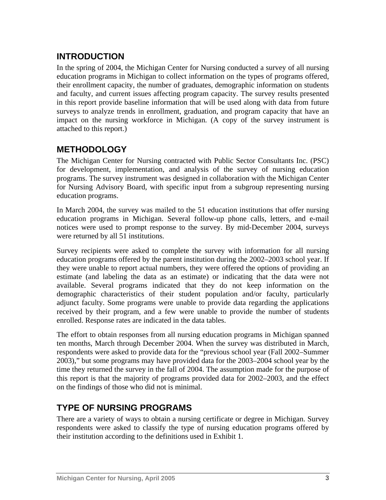## **INTRODUCTION**

In the spring of 2004, the Michigan Center for Nursing conducted a survey of all nursing education programs in Michigan to collect information on the types of programs offered, their enrollment capacity, the number of graduates, demographic information on students and faculty, and current issues affecting program capacity. The survey results presented in this report provide baseline information that will be used along with data from future surveys to analyze trends in enrollment, graduation, and program capacity that have an impact on the nursing workforce in Michigan. (A copy of the survey instrument is attached to this report.)

## **METHODOLOGY**

The Michigan Center for Nursing contracted with Public Sector Consultants Inc. (PSC) for development, implementation, and analysis of the survey of nursing education programs. The survey instrument was designed in collaboration with the Michigan Center for Nursing Advisory Board, with specific input from a subgroup representing nursing education programs.

In March 2004, the survey was mailed to the 51 education institutions that offer nursing education programs in Michigan. Several follow-up phone calls, letters, and e-mail notices were used to prompt response to the survey. By mid-December 2004, surveys were returned by all 51 institutions.

Survey recipients were asked to complete the survey with information for all nursing education programs offered by the parent institution during the 2002–2003 school year. If they were unable to report actual numbers, they were offered the options of providing an estimate (and labeling the data as an estimate) or indicating that the data were not available. Several programs indicated that they do not keep information on the demographic characteristics of their student population and/or faculty, particularly adjunct faculty. Some programs were unable to provide data regarding the applications received by their program, and a few were unable to provide the number of students enrolled. Response rates are indicated in the data tables.

The effort to obtain responses from all nursing education programs in Michigan spanned ten months, March through December 2004. When the survey was distributed in March, respondents were asked to provide data for the "previous school year (Fall 2002–Summer 2003)," but some programs may have provided data for the 2003–2004 school year by the time they returned the survey in the fall of 2004. The assumption made for the purpose of this report is that the majority of programs provided data for 2002–2003, and the effect on the findings of those who did not is minimal.

## **TYPE OF NURSING PROGRAMS**

There are a variety of ways to obtain a nursing certificate or degree in Michigan. Survey respondents were asked to classify the type of nursing education programs offered by their institution according to the definitions used in Exhibit 1.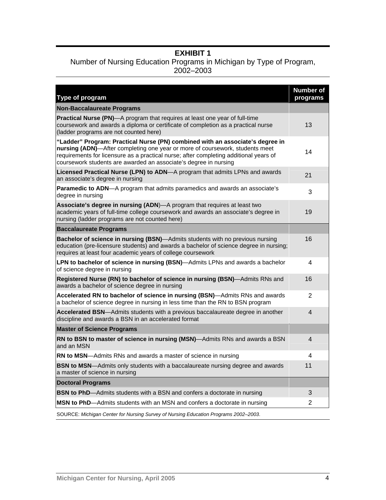### **EXHIBIT 1**

#### Number of Nursing Education Programs in Michigan by Type of Program, 2002–2003

| Type of program                                                                                                                                                                                                                                                                                                            | <b>Number of</b><br>programs |
|----------------------------------------------------------------------------------------------------------------------------------------------------------------------------------------------------------------------------------------------------------------------------------------------------------------------------|------------------------------|
| <b>Non-Baccalaureate Programs</b>                                                                                                                                                                                                                                                                                          |                              |
| <b>Practical Nurse (PN)</b> —A program that requires at least one year of full-time<br>coursework and awards a diploma or certificate of completion as a practical nurse<br>(ladder programs are not counted here)                                                                                                         | 13                           |
| "Ladder" Program: Practical Nurse (PN) combined with an associate's degree in<br>nursing (ADN)-After completing one year or more of coursework, students meet<br>requirements for licensure as a practical nurse; after completing additional years of<br>coursework students are awarded an associate's degree in nursing | 14                           |
| Licensed Practical Nurse (LPN) to ADN-A program that admits LPNs and awards<br>an associate's degree in nursing                                                                                                                                                                                                            | 21                           |
| Paramedic to ADN-A program that admits paramedics and awards an associate's<br>degree in nursing                                                                                                                                                                                                                           | 3                            |
| Associate's degree in nursing (ADN)-A program that requires at least two<br>academic years of full-time college coursework and awards an associate's degree in<br>nursing (ladder programs are not counted here)                                                                                                           | 19                           |
| <b>Baccalaureate Programs</b>                                                                                                                                                                                                                                                                                              |                              |
| Bachelor of science in nursing (BSN)-Admits students with no previous nursing<br>education (pre-licensure students) and awards a bachelor of science degree in nursing;<br>requires at least four academic years of college coursework                                                                                     | 16                           |
| LPN to bachelor of science in nursing (BSN)—Admits LPNs and awards a bachelor<br>of science degree in nursing                                                                                                                                                                                                              | 4                            |
| Registered Nurse (RN) to bachelor of science in nursing (BSN)-Admits RNs and<br>awards a bachelor of science degree in nursing                                                                                                                                                                                             | 16                           |
| Accelerated RN to bachelor of science in nursing (BSN)-Admits RNs and awards<br>a bachelor of science degree in nursing in less time than the RN to BSN program                                                                                                                                                            | $\overline{2}$               |
| Accelerated BSN-Admits students with a previous baccalaureate degree in another<br>discipline and awards a BSN in an accelerated format                                                                                                                                                                                    | $\overline{4}$               |
| <b>Master of Science Programs</b>                                                                                                                                                                                                                                                                                          |                              |
| RN to BSN to master of science in nursing (MSN)-Admits RNs and awards a BSN<br>and an MSN                                                                                                                                                                                                                                  | $\overline{4}$               |
| RN to MSN-Admits RNs and awards a master of science in nursing                                                                                                                                                                                                                                                             | 4                            |
| <b>BSN to MSN—Admits only students with a baccalaureate nursing degree and awards</b><br>a master of science in nursing                                                                                                                                                                                                    | 11                           |
| <b>Doctoral Programs</b>                                                                                                                                                                                                                                                                                                   |                              |
| <b>BSN to PhD</b> —Admits students with a BSN and confers a doctorate in nursing                                                                                                                                                                                                                                           | 3                            |
| MSN to PhD-Admits students with an MSN and confers a doctorate in nursing                                                                                                                                                                                                                                                  | 2                            |
| SOURCE: Michigan Center for Nursing Survey of Nursing Education Programs 2002-2003.                                                                                                                                                                                                                                        |                              |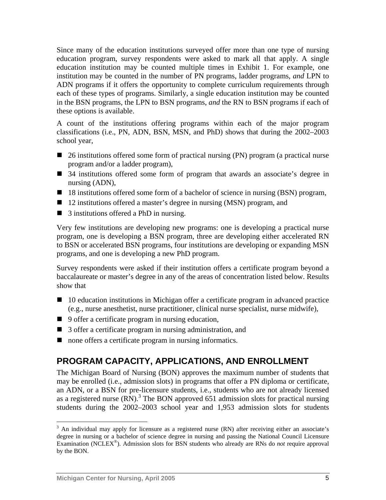Since many of the education institutions surveyed offer more than one type of nursing education program, survey respondents were asked to mark all that apply. A single education institution may be counted multiple times in Exhibit 1. For example, one institution may be counted in the number of PN programs, ladder programs, *and* LPN to ADN programs if it offers the opportunity to complete curriculum requirements thr[ou](#page-4-0)gh each of these types of programs. Similarly, a single education institution may be counted in the BSN programs, the LPN to BSN programs, *and* the RN to BSN programs if each of these options is available.

A count of the institutions offering programs within each of the major program classifications (i.e., PN, ADN, BSN, MSN, and PhD) shows that during the 2002–2003 school year,

- 26 institutions offered some form of practical nursing (PN) program (a practical nurse program and/or a ladder program),
- 34 institutions offered some form of program that awards an associate's degree in nursing (ADN),
- 18 institutions offered some form of a bachelor of science in nursing (BSN) program,
- 12 institutions offered a master's degree in nursing (MSN) program, and
- 3 institutions offered a PhD in nursing.

Very few institutions are developing new programs: one is developing a practical nurse program, one is developing a BSN program, three are developing either accelerated RN to BSN or accelerated BSN programs, four institutions are developing or expanding MSN programs, and one is developing a new PhD program.

Survey respondents were asked if their institution offers a certificate program beyond a baccalaureate or master's degree in any of the areas of concentration listed below. Results show that

- 10 education institutions in Michigan offer a certificate program in advanced practice (e.g., nurse anesthetist, nurse practitioner, clinical nurse specialist, nurse midwife),
- 9 offer a certificate program in nursing education,
- 3 offer a certificate program in nursing administration, and
- none offers a certificate program in nursing informatics.

## **PROGRAM CAPACITY, APPLICATIONS, AND ENROLLMENT**

The Michigan Board of Nursing (BON) approves the maximum number of students that may be enrolled (i.e., admission slots) in programs that offer a PN diploma or certificate, an ADN, or a BSN for pre-licensure students, i.e., students who are not already licensed as a registered nurse  $(RN)$ .<sup>3</sup> The BON approved 651 admission slots for practical nursing students during the 2002–2003 school year and 1,953 admission slots for students

<u>.</u>

<span id="page-4-0"></span> $3$  An individual may apply for licensure as a registered nurse (RN) after receiving either an associate's degree in nursing or a bachelor of science degree in nursing and passing the National Council Licensure Examination (NCLEX®). Admission slots for BSN students who already are RNs do *not* require approval by the BON.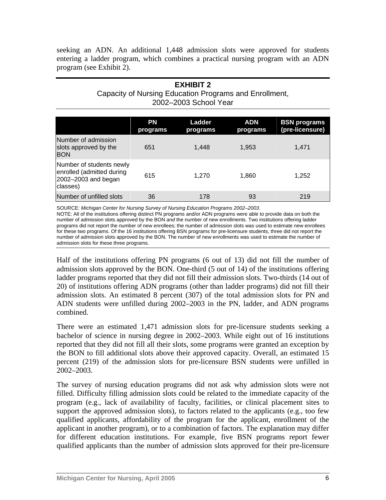seeking an ADN. An additional 1,448 admission slots were approved for students entering a ladder program, which combines a practical nursing program with an ADN program (see Exhibit 2).

#### **EXHIBIT 2**  Capacity of Nursing Education Programs and Enrollment, 2002–2003 School Year

|                                                                                          | <b>PN</b><br>programs | Ladder<br>programs | <b>ADN</b><br>programs | <b>BSN</b> programs<br>(pre-licensure) |
|------------------------------------------------------------------------------------------|-----------------------|--------------------|------------------------|----------------------------------------|
| Number of admission<br>slots approved by the<br><b>BON</b>                               | 651                   | 1.448              | 1,953                  | 1,471                                  |
| Number of students newly<br>enrolled (admitted during<br>2002-2003 and began<br>classes) | 615                   | 1.270              | 1,860                  | 1,252                                  |
| Number of unfilled slots                                                                 | 36                    | 178                | 93                     | 219                                    |

SOURCE: *Michigan Center for Nursing Survey of Nursing Education Programs 2002–2003*.

NOTE: All of the institutions offering distinct PN programs and/or ADN programs were able to provide data on both the number of admission slots approved by the BON *and* the number of new enrollments. Two institutions offering ladder programs did not report the number of new enrollees; the number of admission slots was used to estimate new enrollees for these two programs. Of the 16 institutions offering BSN programs for pre-licensure students, three did not report the number of admission slots approved by the BON. The number of new enrollments was used to estimate the number of admission slots for these three programs.

Half of the institutions offering PN programs (6 out of 13) did not fill the number of admission slots approved by the BON. One-third (5 out of 14) of the institutions offering ladder programs reported that they did not fill their admission slots. Two-thirds (14 out of 20) of institutions offering ADN programs (other than ladder programs) did not fill their admission slots. An estimated 8 percent (307) of the total admission slots for PN and ADN students were unfilled during 2002–2003 in the PN, ladder, and ADN programs combined.

There were an estimated 1,471 admission slots for pre-licensure students seeking a bachelor of science in nursing degree in 2002–2003. While eight out of 16 institutions reported that they did not fill all their slots, some programs were granted an exception by the BON to fill additional slots above their approved capacity. Overall, an estimated 15 percent (219) of the admission slots for pre-licensure BSN students were unfilled in 2002–2003.

The survey of nursing education programs did not ask why admission slots were not filled. Difficulty filling admission slots could be related to the immediate capacity of the program (e.g., lack of availability of faculty, facilities, or clinical placement sites to support the approved admission slots), to factors related to the applicants (e.g., too few qualified applicants, affordability of the program for the applicant, enrollment of the applicant in another program), or to a combination of factors. The explanation may differ for different education institutions. For example, five BSN programs report fewer qualified applicants than the number of admission slots approved for their pre-licensure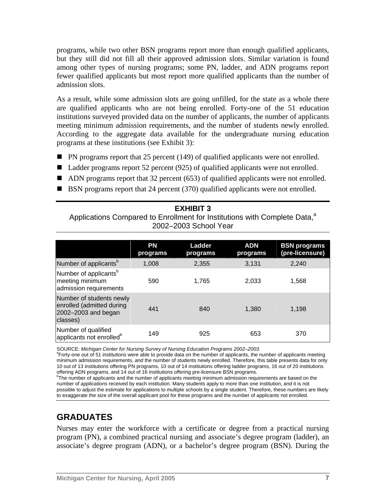programs, while two other BSN programs report more than enough qualified applicants, but they still did not fill all their approved admission slots. Similar variation is found among other types of nursing programs; some PN, ladder, and ADN programs report fewer qualified applicants but most report more qualified applicants than the number of admission slots.

As a result, while some admission slots are going unfilled, for the state as a whole there are qualified applicants who are not being enrolled. Forty-one of the 51 education institutions surveyed provided data on the number of applicants, the number of applicants meeting minimum admission requirements, and the number of students newly enrolled. According to the aggregate data available for the undergraduate nursing education programs at these institutions (see Exhibit 3):

- PN programs report that 25 percent (149) of qualified applicants were not enrolled.
- Ladder programs report 52 percent (925) of qualified applicants were not enrolled.
- ADN programs report that 32 percent (653) of qualified applicants were not enrolled.
- BSN programs report that 24 percent (370) qualified applicants were not enrolled.

#### **EXHIBIT 3**

Applications Compared to Enrollment for Institutions with Complete Data,<sup>a</sup> 2002–2003 School Year

|                                                                                          | <b>PN</b><br>programs | Ladder<br>programs | <b>ADN</b><br>programs | <b>BSN programs</b><br>(pre-licensure) |
|------------------------------------------------------------------------------------------|-----------------------|--------------------|------------------------|----------------------------------------|
| Number of applicants <sup>b</sup>                                                        | 1,008                 | 2,355              | 3,131                  | 2,240                                  |
| Number of applicants <sup>b</sup><br>meeting minimum<br>admission requirements           | 590                   | 1.765              | 2,033                  | 1,568                                  |
| Number of students newly<br>enrolled (admitted during<br>2002-2003 and began<br>classes) | 441                   | 840                | 1,380                  | 1.198                                  |
| Number of qualified<br>applicants not enrolled <sup>b</sup>                              | 149                   | 925                | 653                    | 370                                    |

SOURCE: Michigan Center for Nursing Survey of Nursing Education Programs 2002-2003.

<sup>a</sup>Forty-one out of 51 institutions were able to provide data on the number of applicants, the number of applicants meeting minimum admission requirements, *and* the number of students newly enrolled. Therefore, this table presents data for only 10 out of 13 institutions offering PN programs, 10 out of 14 institutions offering ladder programs, 16 out of 20 institutions offering ADN programs, and 14 out of 16 institutions offering pre-licensure BSN programs.

<sup>b</sup>The number of applicants and the number of applicants meeting minimum admission requirements are based on the number of *applications* received by each institution. Many students apply to more than one institution, and it is not possible to adjust the estimate for applications to multiple schools by a single student. Therefore, these numbers are likely to exaggerate the size of the overall applicant pool for these programs and the number of applicants not enrolled.

# **GRADUATES**

Nurses may enter the workforce with a certificate or degree from a practical nursing program (PN), a combined practical nursing and associate's degree program (ladder), an associate's degree program (ADN), or a bachelor's degree program (BSN). During the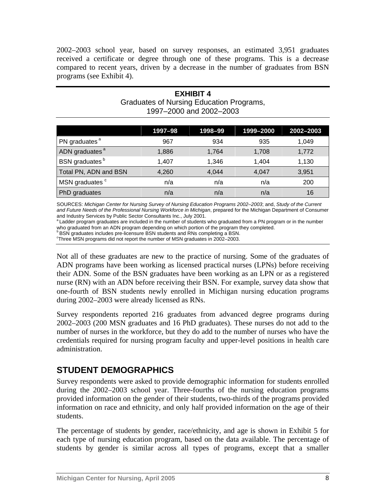2002–2003 school year, based on survey responses, an estimated 3,951 graduates received a certificate or degree [th](#page-7-0)rough one of these programs. This is a decrease compared to recent years, driven by a decrease in the number of graduates from BSN programs (see Exhibit 4).

**EXHIBIT 4** 

| <b>Graduates of Nursing Education Programs,</b><br>1997-2000 and 2002-2003 |         |         |           |           |
|----------------------------------------------------------------------------|---------|---------|-----------|-----------|
|                                                                            | 1997-98 | 1998-99 | 1999-2000 | 2002-2003 |
| PN graduates <sup>a</sup>                                                  | 967     | 934     | 935       | 1,049     |
| ADN graduates <sup>a</sup>                                                 | 1,886   | 1,764   | 1,708     | 1,772     |
| BSN graduates <sup>b</sup>                                                 | 1,407   | 1,346   | 1,404     | 1,130     |
| Total PN, ADN and BSN                                                      | 4,260   | 4,044   | 4,047     | 3,951     |
| MSN graduates <sup>c</sup>                                                 | n/a     | n/a     | n/a       | 200       |
| PhD graduates                                                              | n/a     | n/a     | n/a       | 16        |

SOURCES: *Michigan Center for Nursing Survey of Nursing Education Programs 2002–2003*; and, *Study of the Current and Future Needs of the Professional Nursing Workforce in Michigan*, prepared for the Michigan Department of Consumer

<sup>a</sup> Ladder program graduates are included in the number of students who graduated from a PN program or in the number

who graduated from an ADN program depending on which portion of the program they completed.<br>
BSN graduates includes pre-licensure BSN students and RNs completing a BSN.

Three MSN programs did not report the number of MSN graduates in 2002–2003.

Not all of these graduates are new to the practice of nursing. Some of the graduates of ADN programs have been working as licensed practical nurses (LPNs) before receiving their ADN. Some of the BSN graduates have been working as an LPN or as a registered nurse (RN) with an ADN before receiving their BSN. For example, survey data show that one-fourth of BSN students newly enrolled in Michigan nursing education programs during 2002–2003 were already licensed as RNs.

Survey respondents reported 216 graduates from advanced degree programs during 2002–2003 (200 MSN graduates and 16 PhD graduates). These nurses do not add to the number of nurses in the workforce, but they do add to the number of nurses who have the credentials required for nursing program faculty and upper-level positions in health care administration.

## **STUDENT DEMOGRAPHICS**

Survey respondents were asked to provide demographic information for students enrolled during the 2002–2003 school year. Three-fourths of the nursing education programs provided information on the gender of their students, two-thirds of the programs provided information on race and ethnicity, and only half provided information on the age of their students.

<span id="page-7-0"></span>The percentage of students by gender, race/ethnicity, and age is shown in Exhibit 5 for each type of nursing education program, based on the data available. The percentage of students by gender is similar across all types of programs, except that a smaller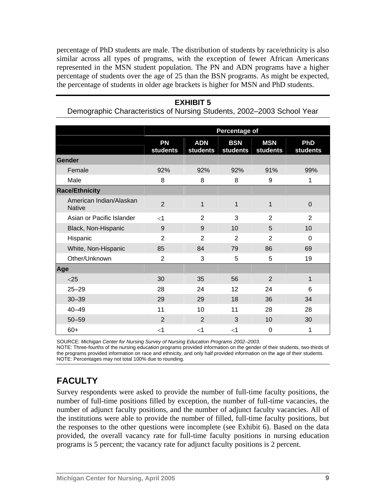percentage of PhD students are male. The distribution of students by race/ethnicity is also similar across all types of programs, with the exception of fewer African Americans represented in the MSN student population. The PN and ADN programs have a higher percentage of students over the age of 25 than the BSN programs. As might be expected, the percentage of students in older age brackets is higher for MSN and PhD students.

#### **EXHIBIT 5**

Demographic Characteristics of Nursing Students, 2002–2003 School Year

|                                          | Percentage of         |                        |                        |                        |                 |
|------------------------------------------|-----------------------|------------------------|------------------------|------------------------|-----------------|
|                                          |                       |                        |                        |                        |                 |
|                                          | <b>PN</b><br>students | <b>ADN</b><br>students | <b>BSN</b><br>students | <b>MSN</b><br>students | PhD<br>students |
| Gender                                   |                       |                        |                        |                        |                 |
| Female                                   | 92%                   | 92%                    | 92%                    | 91%                    | 99%             |
| Male                                     | 8                     | 8                      | 8                      | 9                      | 1               |
| <b>Race/Ethnicity</b>                    |                       |                        |                        |                        |                 |
| American Indian/Alaskan<br><b>Native</b> | $\overline{2}$        | 1                      | 1                      | 1                      | $\mathbf 0$     |
| Asian or Pacific Islander                | $<$ 1                 | $\overline{2}$         | 3                      | $\overline{2}$         | $\overline{2}$  |
| Black, Non-Hispanic                      | 9                     | 9                      | 10                     | 5                      | 10              |
| Hispanic                                 | $\overline{2}$        | $\overline{2}$         | $\overline{2}$         | $\overline{2}$         | 0               |
| White, Non-Hispanic                      | 85                    | 84                     | 79                     | 86                     | 69              |
| Other/Unknown                            | $\overline{2}$        | 3                      | 5                      | 5                      | 19              |
| Age                                      |                       |                        |                        |                        |                 |
| $<$ 25                                   | 30                    | 35                     | 56                     | $\overline{2}$         | $\mathbf{1}$    |
| $25 - 29$                                | 28                    | 24                     | 12                     | 24                     | 6               |
| $30 - 39$                                | 29                    | 29                     | 18                     | 36                     | 34              |
| $40 - 49$                                | 11                    | 10                     | 11                     | 28                     | 28              |
| $50 - 59$                                | $\overline{2}$        | $\overline{2}$         | 3                      | 10                     | 30              |
| $60+$                                    | $\leq$ 1              | $\leq$ 1               | $<$ 1                  | $\mathbf 0$            | 1               |

SOURCE: *Michigan Center for Nursing Survey of Nursing Education Programs 2002–2003.* 

NOTE: Three-fourths of the nursing education programs provided information on the gender of their students, two-thirds of the programs provided information on race and ethnicity, and only half provided information on the age of their students. NOTE: Percentages may not total 100% due to rounding.

## **FACULTY**

Survey respondents were asked to provide the number of full-time faculty positions, the number of full-time positions filled by exception, the number of full-time vacancies, the number of adjunct faculty positions, and the number of adjunct faculty vacancies. All of the institutions were able to provide the number of filled, full-time faculty positions, but the responses to the other questions were incomplete (see Exhibit 6). Based on the data provided, the overall vacancy rate for full-time faculty positions in nursing education programs is 5 percent; the vacancy rate for adjunct faculty positions is 2 percent.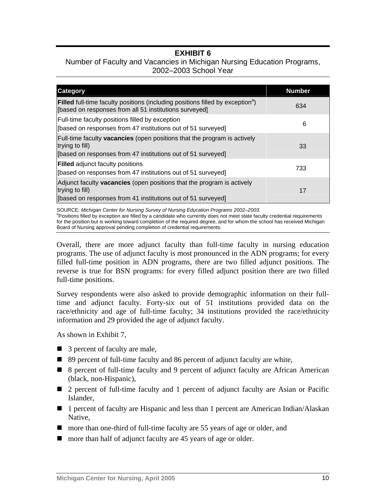## **EXHIBIT 6**

#### Number of Faculty and Vacancies in Michigan Nursing Education Programs, 2002–2003 School Year

| <b>Category</b>                                                                                                                                                    | <b>Number</b> |
|--------------------------------------------------------------------------------------------------------------------------------------------------------------------|---------------|
| <b>Filled</b> full-time faculty positions (including positions filled by exception <sup>a</sup> )<br>[based on responses from all 51 institutions surveyed]        | 634           |
| <b>Full-time faculty positions filled by exception</b><br>[based on responses from 47 institutions out of 51 surveyed]                                             | 6             |
| Full-time faculty <b>vacancies</b> (open positions that the program is actively<br>trying to fill)<br>[based on responses from 47 institutions out of 51 surveyed] | 33            |
| <b>Filled</b> adjunct faculty positions<br>[based on responses from 47 institutions out of 51 surveyed]                                                            | 733           |
| Adjunct faculty <b>vacancies</b> (open positions that the program is actively<br>trying to fill)<br>[based on responses from 41 institutions out of 51 surveyed]   | 17            |
| SOURCE: Michigan Center for Nursing Survey of Nursing Education Programs 2002–2003.                                                                                |               |

SOURCE: *Michigan Center for Nursing Survey of Nursing Education Programs 2002–2003*.<br><sup>a</sup>Positions filled by exception are filled by a candidate who currently does not meet state faculty credential requirements for the position but is working toward completion of the required degree, and for whom the school has received Michigan Board of Nursing approval pending completion of credential requirements.

Overall, there are more adjunct faculty than full-time faculty in nursing education programs. The use of adjunct faculty is most pronounced in the ADN programs; for every filled full-time position in ADN programs, there are two filled adjunct positions. The reverse is true for BSN programs: for every filled adjunct position there are two filled full-time positions.

Survey respondents were also asked to provide demographic information on their fulltime and adjunct faculty. Forty-six out of 51 institutions provided data on the race/ethnicity and age of full-time faculty; 34 institutions provided the race/ethnicity information and 29 provided the age of adjunct faculty.

As shown in Exhibit 7,

- 3 percent of faculty are male,
- 89 percent of full-time faculty and 86 percent of adjunct faculty are white,
- 8 percent of full-time faculty and 9 percent of adjunct faculty are African American (black, non-Hispanic),
- 2 percent of full-time faculty and 1 percent of adjunct faculty are Asian or Pacific Islander,
- 1 percent of faculty are Hispanic and less than 1 percent are American Indian/Alaskan Native,
- more than one-third of full-time faculty are 55 years of age or older, and
- more than half of adjunct faculty are 45 years of age or older.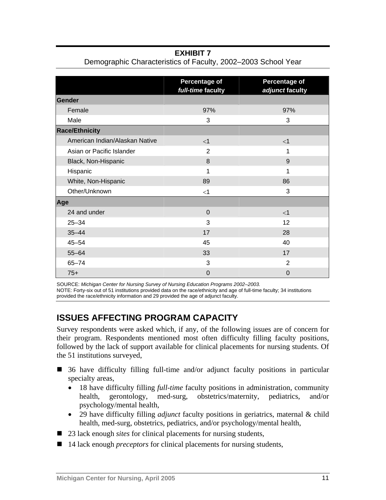**EXHIBIT 7** 

|                                | Percentage of<br>full-time faculty | <b>Percentage of</b><br>adjunct faculty |
|--------------------------------|------------------------------------|-----------------------------------------|
| Gender                         |                                    |                                         |
| Female                         | 97%                                | 97%                                     |
| Male                           | 3                                  | 3                                       |
| <b>Race/Ethnicity</b>          |                                    |                                         |
| American Indian/Alaskan Native | $\leq$ 1                           | $<$ 1                                   |
| Asian or Pacific Islander      | $\overline{2}$                     | 1                                       |
| Black, Non-Hispanic            | 8                                  | 9                                       |
| Hispanic                       | 1                                  | 1                                       |
| White, Non-Hispanic            | 89                                 | 86                                      |
| Other/Unknown                  | $<$ 1                              | 3                                       |
| Age                            |                                    |                                         |
| 24 and under                   | $\Omega$                           | $<$ 1                                   |
| $25 - 34$                      | 3                                  | 12 <sup>2</sup>                         |
| $35 - 44$                      | 17                                 | 28                                      |
| $45 - 54$                      | 45                                 | 40                                      |
| $55 - 64$                      | 33                                 | 17                                      |
| $65 - 74$                      | 3                                  | $\overline{2}$                          |
| $75+$                          | $\overline{0}$                     | 0                                       |

Demographic Characteristics of Faculty, 2002–2003 School Year

SOURCE: *Michigan Center for Nursing Survey of Nursing Education Programs 2002–2003.*  NOTE: Forty-six out of 51 institutions provided data on the race/ethnicity and age of full-time faculty; 34 institutions provided the race/ethnicity information and 29 provided the age of adjunct faculty.

# **ISSUES AFFECTING PROGRAM CAPACITY**

Survey respondents were asked which, if any, of the following issues are of concern for their program. Respondents mentioned most often difficulty filling faculty positions, followed by the lack of support available for clinical placements for nursing students. Of the 51 institutions surveyed,

- 36 have difficulty filling full-time and/or adjunct faculty positions in particular specialty areas,
	- 18 have difficulty filling *full-time* faculty positions in administration, community health, gerontology, med-surg, obstetrics/maternity, pediatrics, and/or psychology/mental health,
	- 29 have difficulty filling *adjunct* faculty positions in geriatrics, maternal & child health, med-surg, obstetrics, pediatrics, and/or psychology/mental health,
- 23 lack enough *sites* for clinical placements for nursing students,
- 14 lack enough *preceptors* for clinical placements for nursing students,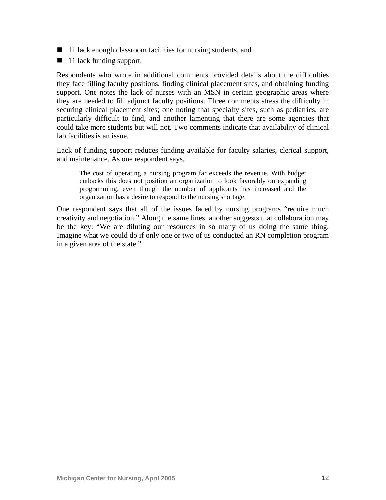- $\blacksquare$  11 lack enough classroom facilities for nursing students, and
- $\blacksquare$  11 lack funding support.

Respondents who wrote in additional comments provided details about the difficulties they face filling faculty positions, finding clinical placement sites, and obtaining funding support. One notes the lack of nurses with an MSN in certain geographic areas where they are needed to fill adjunct faculty positions. Three comments stress the difficulty in securing clinical placement sites; one noting that specialty sites, such as pediatrics, are particularly difficult to find, and another lamenting that there are some agencies that could take more students but will not. Two comments indicate that availability of clinical lab facilities is an issue.

Lack of funding support reduces funding available for faculty salaries, clerical support, and maintenance. As one respondent says,

The cost of operating a nursing program far exceeds the revenue. With budget cutbacks this does not position an organization to look favorably on expanding programming, even though the number of applicants has increased and the organization has a desire to respond to the nursing shortage.

One respondent says that all of the issues faced by nursing programs "require much creativity and negotiation." Along the same lines, another suggests that collaboration may be the key: "We are diluting our resources in so many of us doing the same thing. Imagine what we could do if only one or two of us conducted an RN completion program in a given area of the state."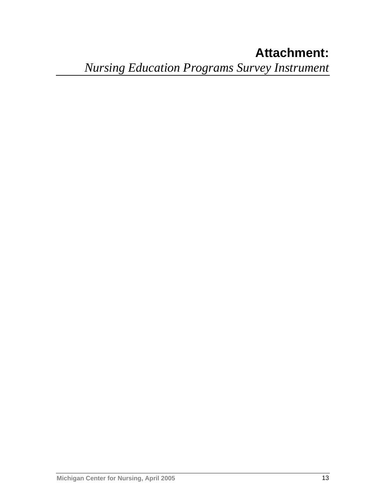# **Attachment:**  *Nursing Education Programs Survey Instrument*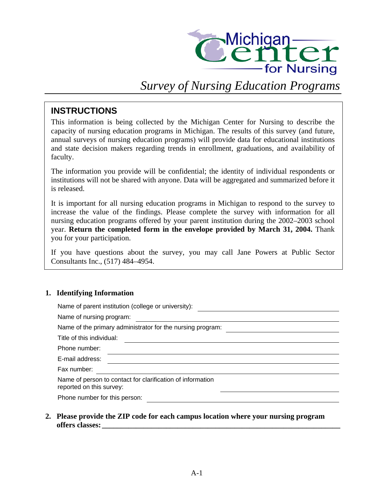

# *Survey of Nursing Education Programs*

### **INSTRUCTIONS**

This information is being collected by the Michigan Center for Nursing to describe the capacity of nursing education programs in Michigan. The results of this survey (and future, annual surveys of nursing education programs) will provide data for educational institutions and state decision makers regarding trends in enrollment, graduations, and availability of faculty.

The information you provide will be confidential; the identity of individual respondents or institutions will not be shared with anyone. Data will be aggregated and summarized before it is released.

It is important for all nursing education programs in Michigan to respond to the survey to increase the value of the findings. Please complete the survey with information for all nursing education programs offered by your parent institution during the 2002–2003 school year. **Return the completed form in the envelope provided by March 31, 2004.** Thank you for your participation.

If you have questions about the survey, you may call Jane Powers at Public Sector Consultants Inc., (517) 484–4954.

#### **1. Identifying Information**

| Name of parent institution (college or university):                                    |
|----------------------------------------------------------------------------------------|
| Name of nursing program:                                                               |
| Name of the primary administrator for the nursing program:                             |
| Title of this individual:                                                              |
| Phone number:                                                                          |
| E-mail address:                                                                        |
| Fax number:                                                                            |
| Name of person to contact for clarification of information<br>reported on this survey: |
| Phone number for this person:                                                          |
|                                                                                        |

**2. Please provide the ZIP code for each campus location where your nursing program offers classes: \_\_\_\_\_\_\_\_\_\_\_\_\_\_\_\_\_\_\_\_\_\_\_\_\_\_\_\_\_\_\_\_\_\_\_\_\_\_\_\_\_\_\_\_\_\_\_\_\_\_\_\_\_\_\_\_\_\_\_\_\_\_\_**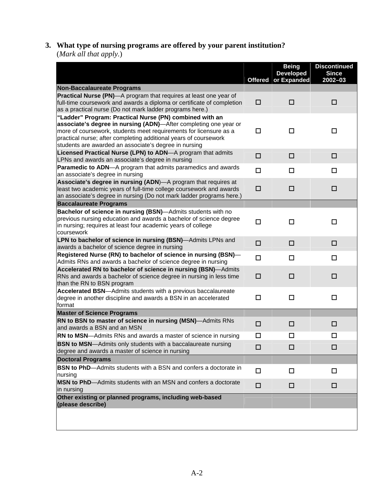## **3. What type of nursing programs are offered by your parent institution?**  (*Mark all that apply.*)

|                                                                                                                                                                                                                                                                    |        | <b>Being</b><br><b>Developed</b><br>Offered or Expanded | <b>Discontinued</b><br><b>Since</b><br>2002-03 |
|--------------------------------------------------------------------------------------------------------------------------------------------------------------------------------------------------------------------------------------------------------------------|--------|---------------------------------------------------------|------------------------------------------------|
| <b>Non-Baccalaureate Programs</b>                                                                                                                                                                                                                                  |        |                                                         |                                                |
| Practical Nurse (PN)-A program that requires at least one year of<br>full-time coursework and awards a diploma or certificate of completion<br>as a practical nurse (Do not mark ladder programs here.)<br>"Ladder" Program: Practical Nurse (PN) combined with an | □      | □                                                       | □                                              |
| associate's degree in nursing (ADN)-After completing one year or<br>more of coursework, students meet requirements for licensure as a<br>practical nurse; after completing additional years of coursework<br>students are awarded an associate's degree in nursing | □      | $\Box$                                                  | $\Box$                                         |
| Licensed Practical Nurse (LPN) to ADN-A program that admits<br>LPNs and awards an associate's degree in nursing                                                                                                                                                    | □      | □                                                       | □                                              |
| Paramedic to ADN-A program that admits paramedics and awards<br>an associate's degree in nursing                                                                                                                                                                   | □      | □                                                       | □                                              |
| Associate's degree in nursing (ADN)-A program that requires at<br>least two academic years of full-time college coursework and awards<br>an associate's degree in nursing (Do not mark ladder programs here.)                                                      | □      | □                                                       | □                                              |
| <b>Baccalaureate Programs</b>                                                                                                                                                                                                                                      |        |                                                         |                                                |
| Bachelor of science in nursing (BSN)-Admits students with no<br>previous nursing education and awards a bachelor of science degree<br>in nursing; requires at least four academic years of college<br>coursework                                                   | $\Box$ | п                                                       | $\Box$                                         |
| LPN to bachelor of science in nursing (BSN)-Admits LPNs and                                                                                                                                                                                                        | □      | □                                                       | □                                              |
| awards a bachelor of science degree in nursing                                                                                                                                                                                                                     |        |                                                         |                                                |
| Registered Nurse (RN) to bachelor of science in nursing (BSN)-<br>Admits RNs and awards a bachelor of science degree in nursing                                                                                                                                    | $\Box$ | ◻                                                       | ◻                                              |
| Accelerated RN to bachelor of science in nursing (BSN)-Admits<br>RNs and awards a bachelor of science degree in nursing in less time<br>than the RN to BSN program                                                                                                 | □      | □                                                       | □                                              |
| Accelerated BSN-Admits students with a previous baccalaureate<br>degree in another discipline and awards a BSN in an accelerated<br>format                                                                                                                         | □      | $\Box$                                                  | $\Box$                                         |
| <b>Master of Science Programs</b>                                                                                                                                                                                                                                  |        |                                                         |                                                |
| RN to BSN to master of science in nursing (MSN)-Admits RNs<br>and awards a BSN and an MSN                                                                                                                                                                          | $\Box$ | □                                                       | □                                              |
| RN to MSN-Admits RNs and awards a master of science in nursing                                                                                                                                                                                                     | □      | □                                                       | □                                              |
| <b>BSN to MSN</b> —Admits only students with a baccalaureate nursing<br>degree and awards a master of science in nursing                                                                                                                                           | □      | □                                                       | □                                              |
| <b>Doctoral Programs</b>                                                                                                                                                                                                                                           |        |                                                         |                                                |
| <b>BSN to PhD</b> —Admits students with a BSN and confers a doctorate in<br>nursing                                                                                                                                                                                | $\Box$ | $\Box$                                                  | $\Box$                                         |
| MSN to PhD-Admits students with an MSN and confers a doctorate<br>in nursing                                                                                                                                                                                       | □      | □                                                       | □                                              |
| Other existing or planned programs, including web-based<br>(please describe)                                                                                                                                                                                       |        |                                                         |                                                |
|                                                                                                                                                                                                                                                                    |        |                                                         |                                                |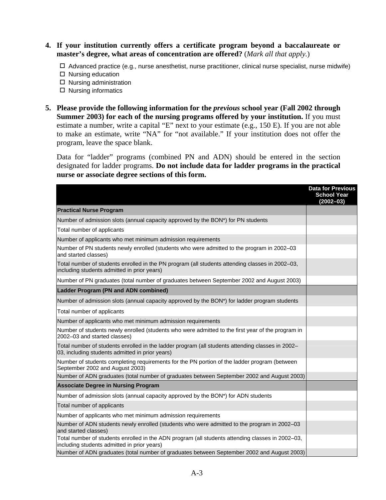- **4. If your institution currently offers a certificate program beyond a baccalaureate or master's degree, what areas of concentration are offered?** (*Mark all that apply.*)
	- $\Box$  Advanced practice (e.g., nurse anesthetist, nurse practitioner, clinical nurse specialist, nurse midwife)
	- $\square$  Nursing education
	- $\Box$  Nursing administration
	- $\square$  Nursing informatics
- **5. Please provide the following information for the** *previous* **school year (Fall 2002 through Summer 2003) for each of the nursing programs offered by your institution.** If you must estimate a number, write a capital "E" next to your estimate (e.g., 150 E). If you are not able to make an estimate, write "NA" for "not available." If your institution does not offer the program, leave the space blank.

Data for "ladder" programs (combined PN and ADN) should be entered in the section designated for ladder programs. **Do not include data for ladder programs in the practical nurse or associate degree sections of this form.**

|                                                                                                                                                     | <b>Data for Previous</b><br><b>School Year</b><br>$(2002 - 03)$ |
|-----------------------------------------------------------------------------------------------------------------------------------------------------|-----------------------------------------------------------------|
| <b>Practical Nurse Program</b>                                                                                                                      |                                                                 |
| Number of admission slots (annual capacity approved by the BON*) for PN students                                                                    |                                                                 |
| Total number of applicants                                                                                                                          |                                                                 |
| Number of applicants who met minimum admission requirements                                                                                         |                                                                 |
| Number of PN students newly enrolled (students who were admitted to the program in 2002-03<br>and started classes)                                  |                                                                 |
| Total number of students enrolled in the PN program (all students attending classes in 2002-03,<br>including students admitted in prior years)      |                                                                 |
| Number of PN graduates (total number of graduates between September 2002 and August 2003)                                                           |                                                                 |
| <b>Ladder Program (PN and ADN combined)</b>                                                                                                         |                                                                 |
| Number of admission slots (annual capacity approved by the BON*) for ladder program students                                                        |                                                                 |
| Total number of applicants                                                                                                                          |                                                                 |
| Number of applicants who met minimum admission requirements                                                                                         |                                                                 |
| Number of students newly enrolled (students who were admitted to the first year of the program in<br>2002-03 and started classes)                   |                                                                 |
| Total number of students enrolled in the ladder program (all students attending classes in 2002-<br>03, including students admitted in prior years) |                                                                 |
| Number of students completing requirements for the PN portion of the ladder program (between<br>September 2002 and August 2003)                     |                                                                 |
| Number of ADN graduates (total number of graduates between September 2002 and August 2003)                                                          |                                                                 |
| <b>Associate Degree in Nursing Program</b>                                                                                                          |                                                                 |
| Number of admission slots (annual capacity approved by the BON*) for ADN students                                                                   |                                                                 |
| Total number of applicants                                                                                                                          |                                                                 |
| Number of applicants who met minimum admission requirements                                                                                         |                                                                 |
| Number of ADN students newly enrolled (students who were admitted to the program in 2002-03<br>and started classes)                                 |                                                                 |
| Total number of students enrolled in the ADN program (all students attending classes in 2002-03,<br>including students admitted in prior years)     |                                                                 |
| Number of ADN graduates (total number of graduates between September 2002 and August 2003)                                                          |                                                                 |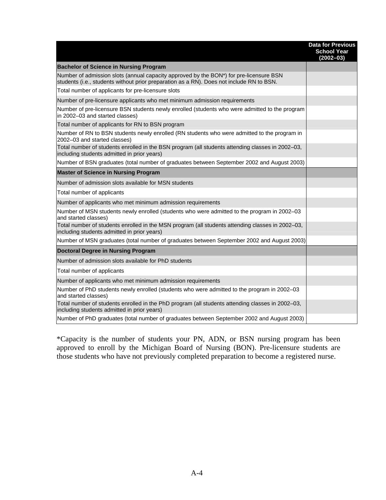|                                                                                                                                                                                    | <b>Data for Previous</b><br><b>School Year</b><br>$(2002 - 03)$ |
|------------------------------------------------------------------------------------------------------------------------------------------------------------------------------------|-----------------------------------------------------------------|
| <b>Bachelor of Science in Nursing Program</b>                                                                                                                                      |                                                                 |
| Number of admission slots (annual capacity approved by the BON*) for pre-licensure BSN<br>students (i.e., students without prior preparation as a RN). Does not include RN to BSN. |                                                                 |
| Total number of applicants for pre-licensure slots                                                                                                                                 |                                                                 |
| Number of pre-licensure applicants who met minimum admission requirements                                                                                                          |                                                                 |
| Number of pre-licensure BSN students newly enrolled (students who were admitted to the program<br>in 2002-03 and started classes)                                                  |                                                                 |
| Total number of applicants for RN to BSN program                                                                                                                                   |                                                                 |
| Number of RN to BSN students newly enrolled (RN students who were admitted to the program in<br>2002-03 and started classes)                                                       |                                                                 |
| Total number of students enrolled in the BSN program (all students attending classes in 2002-03,<br>including students admitted in prior years)                                    |                                                                 |
| Number of BSN graduates (total number of graduates between September 2002 and August 2003)                                                                                         |                                                                 |
| <b>Master of Science in Nursing Program</b>                                                                                                                                        |                                                                 |
| Number of admission slots available for MSN students                                                                                                                               |                                                                 |
| Total number of applicants                                                                                                                                                         |                                                                 |
| Number of applicants who met minimum admission requirements                                                                                                                        |                                                                 |
| Number of MSN students newly enrolled (students who were admitted to the program in 2002-03<br>and started classes)                                                                |                                                                 |
| Total number of students enrolled in the MSN program (all students attending classes in 2002-03,<br>including students admitted in prior years)                                    |                                                                 |
| Number of MSN graduates (total number of graduates between September 2002 and August 2003)                                                                                         |                                                                 |
| <b>Doctoral Degree in Nursing Program</b>                                                                                                                                          |                                                                 |
| Number of admission slots available for PhD students                                                                                                                               |                                                                 |
| Total number of applicants                                                                                                                                                         |                                                                 |
| Number of applicants who met minimum admission requirements                                                                                                                        |                                                                 |
| Number of PhD students newly enrolled (students who were admitted to the program in 2002-03<br>and started classes)                                                                |                                                                 |
| Total number of students enrolled in the PhD program (all students attending classes in 2002–03,<br>including students admitted in prior years)                                    |                                                                 |
| Number of PhD graduates (total number of graduates between September 2002 and August 2003)                                                                                         |                                                                 |

\*Capacity is the number of students your PN, ADN, or BSN nursing program has been approved to enroll by the Michigan Board of Nursing (BON). Pre-licensure students are those students who have not previously completed preparation to become a registered nurse.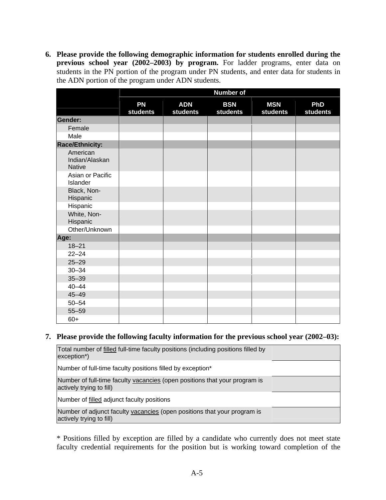**6. Please provide the following demographic information for students enrolled during the previous school year (2002–2003) by program.** For ladder programs, enter data on students in the PN portion of the program under PN students, and enter data for students in the ADN portion of the program under ADN students.

|                                             |                       |                        | <b>Number of</b>              |                        |                        |
|---------------------------------------------|-----------------------|------------------------|-------------------------------|------------------------|------------------------|
|                                             | <b>PN</b><br>students | <b>ADN</b><br>students | <b>BSN</b><br><b>students</b> | <b>MSN</b><br>students | <b>PhD</b><br>students |
| Gender:                                     |                       |                        |                               |                        |                        |
| Female                                      |                       |                        |                               |                        |                        |
| Male                                        |                       |                        |                               |                        |                        |
| <b>Race/Ethnicity:</b>                      |                       |                        |                               |                        |                        |
| American<br>Indian/Alaskan<br><b>Native</b> |                       |                        |                               |                        |                        |
| Asian or Pacific<br>Islander                |                       |                        |                               |                        |                        |
| Black, Non-<br>Hispanic                     |                       |                        |                               |                        |                        |
| Hispanic                                    |                       |                        |                               |                        |                        |
| White, Non-<br>Hispanic                     |                       |                        |                               |                        |                        |
| Other/Unknown                               |                       |                        |                               |                        |                        |
| Age:                                        |                       |                        |                               |                        |                        |
| $18 - 21$                                   |                       |                        |                               |                        |                        |
| $22 - 24$                                   |                       |                        |                               |                        |                        |
| $25 - 29$                                   |                       |                        |                               |                        |                        |
| $30 - 34$                                   |                       |                        |                               |                        |                        |
| $35 - 39$                                   |                       |                        |                               |                        |                        |
| $40 - 44$                                   |                       |                        |                               |                        |                        |
| $45 - 49$                                   |                       |                        |                               |                        |                        |
| $50 - 54$                                   |                       |                        |                               |                        |                        |
| $55 - 59$                                   |                       |                        |                               |                        |                        |
| $60+$                                       |                       |                        |                               |                        |                        |

#### **7. Please provide the following faculty information for the previous school year (2002–03):**

| Total number of filled full-time faculty positions (including positions filled by<br>exception <sup>*</sup> ) |  |
|---------------------------------------------------------------------------------------------------------------|--|
| Number of full-time faculty positions filled by exception*                                                    |  |
| Number of full-time faculty vacancies (open positions that your program is<br>actively trying to fill)        |  |
| Number of filled adjunct faculty positions                                                                    |  |
| Number of adjunct faculty vacancies (open positions that your program is<br>actively trying to fill)          |  |

\* Positions filled by exception are filled by a candidate who currently does not meet state faculty credential requirements for the position but is working toward completion of the